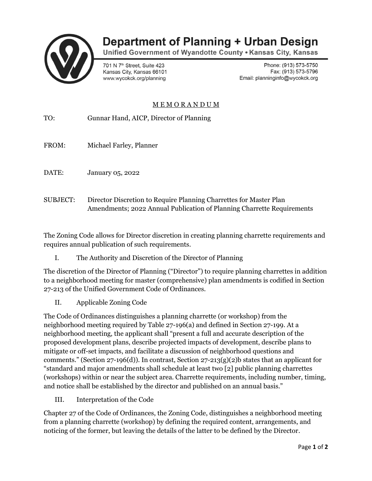

## **Department of Planning + Urban Design**

Unified Government of Wyandotte County . Kansas City, Kansas

701 N 7<sup>th</sup> Street. Suite 423 Kansas City, Kansas 66101 www.wycokck.org/planning

Phone: (913) 573-5750 Fax: (913) 573-5796 Email: planninginfo@wycokck.org

## M E M O R A N D U M

| TO:             | Gunnar Hand, AICP, Director of Planning                            |
|-----------------|--------------------------------------------------------------------|
| FROM:           | Michael Farley, Planner                                            |
| DATE:           | <b>January 05, 2022</b>                                            |
| <b>SUBJECT:</b> | Director Discretion to Require Planning Charrettes for Master Plan |

The Zoning Code allows for Director discretion in creating planning charrette requirements and requires annual publication of such requirements.

Amendments; 2022 Annual Publication of Planning Charrette Requirements

I. The Authority and Discretion of the Director of Planning

The discretion of the Director of Planning ("Director") to require planning charrettes in addition to a neighborhood meeting for master (comprehensive) plan amendments is codified in Section 27-213 of the Unified Government Code of Ordinances.

II. Applicable Zoning Code

The Code of Ordinances distinguishes a planning charrette (or workshop) from the neighborhood meeting required by Table 27-196(a) and defined in Section 27-199. At a neighborhood meeting, the applicant shall "present a full and accurate description of the proposed development plans, describe projected impacts of development, describe plans to mitigate or off-set impacts, and facilitate a discussion of neighborhood questions and comments." (Section 27-196(d)). In contrast, Section 27-213(g)(2)b states that an applicant for "standard and major amendments shall schedule at least two [2] public planning charrettes (workshops) within or near the subject area. Charrette requirements, including number, timing, and notice shall be established by the director and published on an annual basis."

III. Interpretation of the Code

Chapter 27 of the Code of Ordinances, the Zoning Code, distinguishes a neighborhood meeting from a planning charrette (workshop) by defining the required content, arrangements, and noticing of the former, but leaving the details of the latter to be defined by the Director.